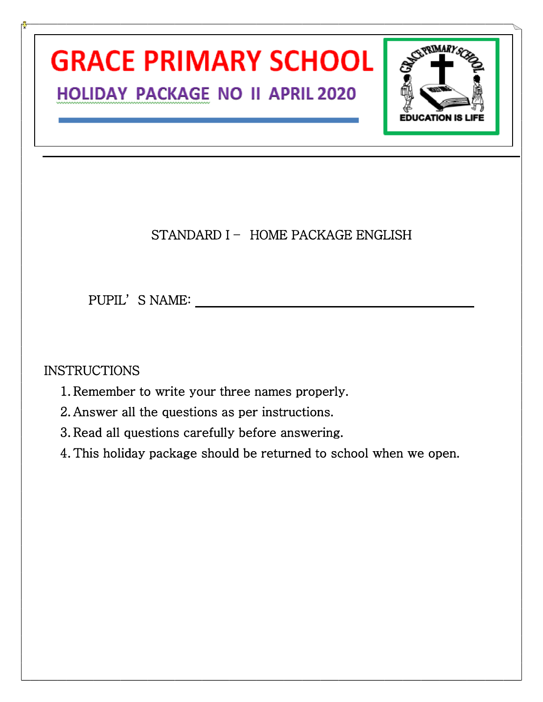## **GRACE PRIMARY SCHOOL HOLIDAY PACKAGE NO II APRIL 2020**



## STANDARD I - HOME PACKAGE ENGLISH

PUPIL'S NAME:

## **INSTRUCTIONS**

- 1. Remember to write your three names properly.
- 2. Answer all the questions as per instructions.
- 3. Read all questions carefully before answering.
- 4. This holiday package should be returned to school when we open.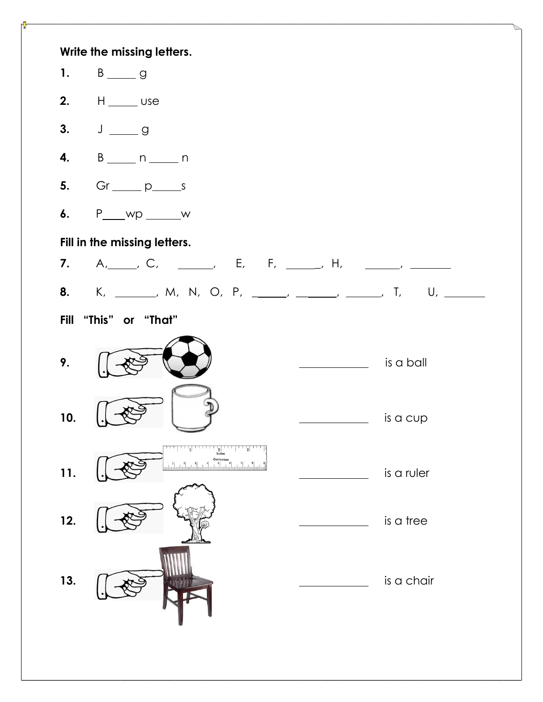| 1.          | Write the missing letters.                |                                                             |
|-------------|-------------------------------------------|-------------------------------------------------------------|
|             | 2. $H$ ____ use                           |                                                             |
|             | 3. $J_{\underline{\hspace{1cm}}}$ g       |                                                             |
| 4.          | $B_{\frac{1}{2}}$ n _______ n             |                                                             |
|             | 5. $Gr_{\_\_p} p_{\_\_s}$                 |                                                             |
| 6.          | $P_{\text{max}}$ wp $\text{max}$          |                                                             |
|             | Fill in the missing letters.              |                                                             |
|             | 7. A, C, _, E, F, _, H, _, _, _, _, ____, |                                                             |
|             |                                           | 8. K, ______, M, N, O, P, _____, _____, _____, T, U, ______ |
| <b>Fill</b> | "This" or "That"                          |                                                             |
| 9.          |                                           | is a ball<br><u> Albanya (Albanya)</u>                      |
| 10.         |                                           | is a cup                                                    |
| 11.         |                                           | is a ruler                                                  |
| 12.         |                                           | is a tree                                                   |
| 13.         |                                           | is a chair                                                  |
|             |                                           |                                                             |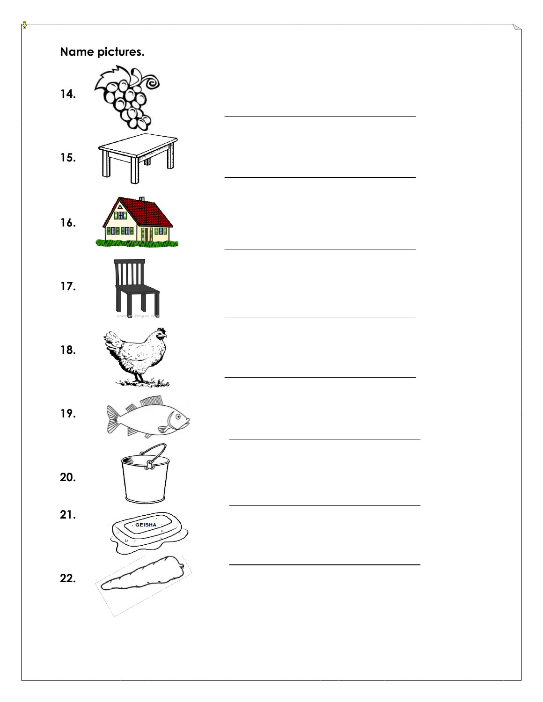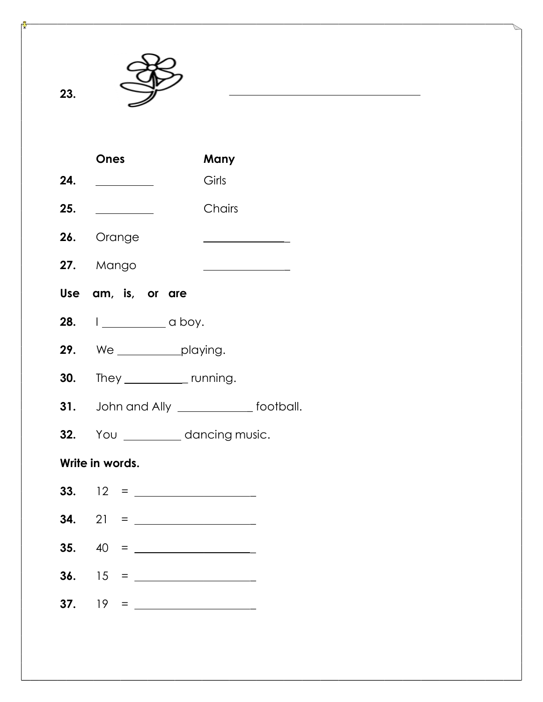

**23.**

| <b>Ones</b>                               | Many                                                            |  |  |  |  |
|-------------------------------------------|-----------------------------------------------------------------|--|--|--|--|
| 24.                                       | Girls                                                           |  |  |  |  |
| 25. $\qquad$                              | Chairs                                                          |  |  |  |  |
| 26. Orange                                | <u> The Communication of the Communication</u>                  |  |  |  |  |
| 27. Mango                                 | <u> 1989 - Johann Barn, mars an t-Amerikaansk kommunister (</u> |  |  |  |  |
| Use am, is, or are                        |                                                                 |  |  |  |  |
| 28. I_____________ a boy.                 |                                                                 |  |  |  |  |
| <b>29.</b> We ____________playing.        |                                                                 |  |  |  |  |
| <b>30.</b> They ______________ running.   |                                                                 |  |  |  |  |
| 31. John and Ally _____________ football. |                                                                 |  |  |  |  |
| 32. You ___________ dancing music.        |                                                                 |  |  |  |  |
| Write in words.                           |                                                                 |  |  |  |  |
|                                           |                                                                 |  |  |  |  |
|                                           |                                                                 |  |  |  |  |
|                                           |                                                                 |  |  |  |  |

- **36.** 15 = \_
- **37.** 19 = \_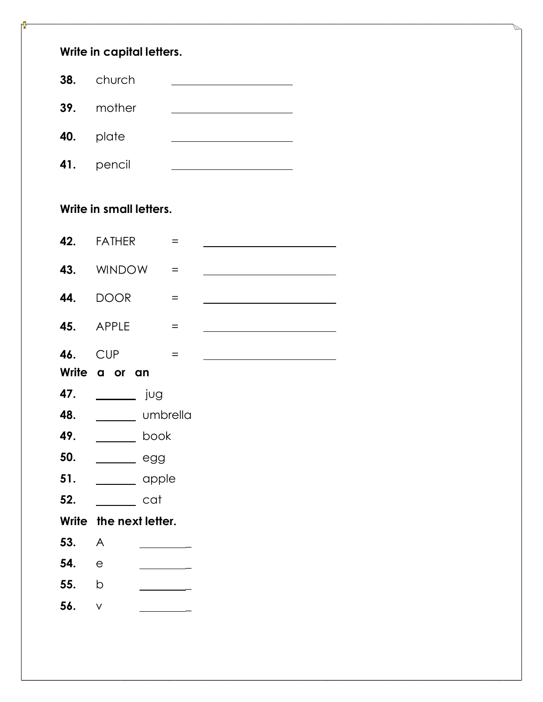| Write in capital letters. |                            |                                                                                                                                                                                                                                      |  |  |  |  |  |
|---------------------------|----------------------------|--------------------------------------------------------------------------------------------------------------------------------------------------------------------------------------------------------------------------------------|--|--|--|--|--|
|                           | 38. church                 | the control of the control of the control of the control of the control of                                                                                                                                                           |  |  |  |  |  |
|                           | 39. mother                 | <u> 1989 - Johann Barbara, martxa alemaniar a</u>                                                                                                                                                                                    |  |  |  |  |  |
|                           | 40. plate                  | <u> 1989 - Johann John Stone, mars eta industrial eta industrial eta industrial eta industrial eta industrial e</u>                                                                                                                  |  |  |  |  |  |
|                           | 41. pencil                 | <u>and the state of the state of the state of the state of the state of the state of the state of the state of the state of the state of the state of the state of the state of the state of the state of the state of the state</u> |  |  |  |  |  |
| Write in small letters.   |                            |                                                                                                                                                                                                                                      |  |  |  |  |  |
| 42.                       | <b>FATHER</b><br>$=$       | <u> 1989 - Johann Barbara, martin a</u>                                                                                                                                                                                              |  |  |  |  |  |
|                           | 43. WINDOW<br>$=$          | <u> 1980 - Johann John Stone, mars et al. (</u>                                                                                                                                                                                      |  |  |  |  |  |
| 44.                       | <b>DOOR</b><br>$\equiv$    |                                                                                                                                                                                                                                      |  |  |  |  |  |
|                           | 45. APPLE<br>$\equiv$      | <u> 1980 - Johann Barbara, martin a</u>                                                                                                                                                                                              |  |  |  |  |  |
| 46.                       | <b>CUP</b><br>$=$          | the control of the control of the control of the control of the control of the control of                                                                                                                                            |  |  |  |  |  |
|                           | Write a or an              |                                                                                                                                                                                                                                      |  |  |  |  |  |
| 47.                       | jug                        |                                                                                                                                                                                                                                      |  |  |  |  |  |
| 48.                       | <b>Example 10</b> Umbrella |                                                                                                                                                                                                                                      |  |  |  |  |  |
| 49.                       | book                       |                                                                                                                                                                                                                                      |  |  |  |  |  |
| 50.                       | egg                        |                                                                                                                                                                                                                                      |  |  |  |  |  |
| 51.                       | apple                      |                                                                                                                                                                                                                                      |  |  |  |  |  |
| 52.                       | cat                        |                                                                                                                                                                                                                                      |  |  |  |  |  |
| <b>Write</b>              | the next letter.           |                                                                                                                                                                                                                                      |  |  |  |  |  |
| 53.                       | A                          |                                                                                                                                                                                                                                      |  |  |  |  |  |
| 54.                       | $\mathsf{e}$               |                                                                                                                                                                                                                                      |  |  |  |  |  |
| 55.                       | b                          |                                                                                                                                                                                                                                      |  |  |  |  |  |
| 56.                       | $\checkmark$               |                                                                                                                                                                                                                                      |  |  |  |  |  |
|                           |                            |                                                                                                                                                                                                                                      |  |  |  |  |  |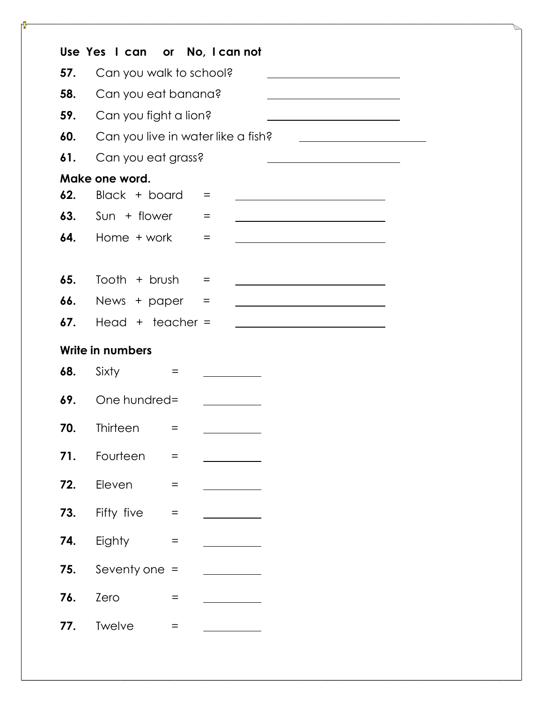|     | Use Yes I can or No, I can not     |                                   |     |                                                                                                                      |                                                                                           |                                                                                                                                                                                                                                      |
|-----|------------------------------------|-----------------------------------|-----|----------------------------------------------------------------------------------------------------------------------|-------------------------------------------------------------------------------------------|--------------------------------------------------------------------------------------------------------------------------------------------------------------------------------------------------------------------------------------|
| 57. | Can you walk to school?            |                                   |     |                                                                                                                      |                                                                                           | <u> 1980 - Johann Barn, mars ann an t-Amhain an t-Amhain an t-Amhain an t-Amhain an t-Amhain an t-Amhain an t-A</u>                                                                                                                  |
| 58. | Can you eat banana?                |                                   |     |                                                                                                                      |                                                                                           |                                                                                                                                                                                                                                      |
| 59. | Can you fight a lion?              |                                   |     |                                                                                                                      |                                                                                           |                                                                                                                                                                                                                                      |
| 60. | Can you live in water like a fish? |                                   |     |                                                                                                                      |                                                                                           | <u> 1989 - Johann Stoff, deutscher Stoffen und der Stoffen und der Stoffen und der Stoffen und der Stoffen und der Stoffen und der Stoffen und der Stoffen und der Stoffen und der Stoffen und der Stoffen und der Stoffen und d</u> |
| 61. | Can you eat grass?                 |                                   |     |                                                                                                                      | <u> 1989 - Johann Barbara, martxa alemaniar a</u>                                         |                                                                                                                                                                                                                                      |
|     | Make one word.                     |                                   |     |                                                                                                                      |                                                                                           |                                                                                                                                                                                                                                      |
| 62. | Black + board                      |                                   | $=$ |                                                                                                                      | the control of the control of the control of the control of the control of the control of |                                                                                                                                                                                                                                      |
| 63. | Sun + flower                       |                                   | $=$ |                                                                                                                      |                                                                                           |                                                                                                                                                                                                                                      |
| 64. | Home + work                        |                                   | $=$ |                                                                                                                      |                                                                                           |                                                                                                                                                                                                                                      |
|     |                                    |                                   |     |                                                                                                                      |                                                                                           |                                                                                                                                                                                                                                      |
| 65. | Tooth $+$ brush                    |                                   | $=$ |                                                                                                                      |                                                                                           |                                                                                                                                                                                                                                      |
| 66. | News + paper                       |                                   | $=$ | <u> 1989 - Johann Barn, mars ann an t-Amhain Aonaich an t-Aonaich an t-Aonaich ann an t-Aonaich ann an t-Aonaich</u> |                                                                                           |                                                                                                                                                                                                                                      |
| 67. | Head $+$ teacher =                 |                                   |     |                                                                                                                      |                                                                                           |                                                                                                                                                                                                                                      |
|     | Write in numbers                   |                                   |     |                                                                                                                      |                                                                                           |                                                                                                                                                                                                                                      |
| 68. | Sixty                              | $=$                               |     |                                                                                                                      |                                                                                           |                                                                                                                                                                                                                                      |
| 69. | One hundred=                       |                                   |     |                                                                                                                      |                                                                                           |                                                                                                                                                                                                                                      |
| 70. | <b>Thirteen</b>                    | $=$                               |     |                                                                                                                      |                                                                                           |                                                                                                                                                                                                                                      |
| 71. | Fourteen                           | $\quad =$                         |     |                                                                                                                      |                                                                                           |                                                                                                                                                                                                                                      |
| 72. | Eleven                             | $\equiv$                          |     |                                                                                                                      |                                                                                           |                                                                                                                                                                                                                                      |
| 73. | Fifty five                         | $\quad \  \  =$                   |     |                                                                                                                      |                                                                                           |                                                                                                                                                                                                                                      |
| 74. | Eighty                             | $\hspace{1.6cm} = \hspace{1.6cm}$ |     |                                                                                                                      |                                                                                           |                                                                                                                                                                                                                                      |
| 75. | Seventy one $=$                    |                                   |     |                                                                                                                      |                                                                                           |                                                                                                                                                                                                                                      |
| 76. | Zero                               | $=$                               |     |                                                                                                                      |                                                                                           |                                                                                                                                                                                                                                      |
| 77. | Twelve                             | $=$                               |     |                                                                                                                      |                                                                                           |                                                                                                                                                                                                                                      |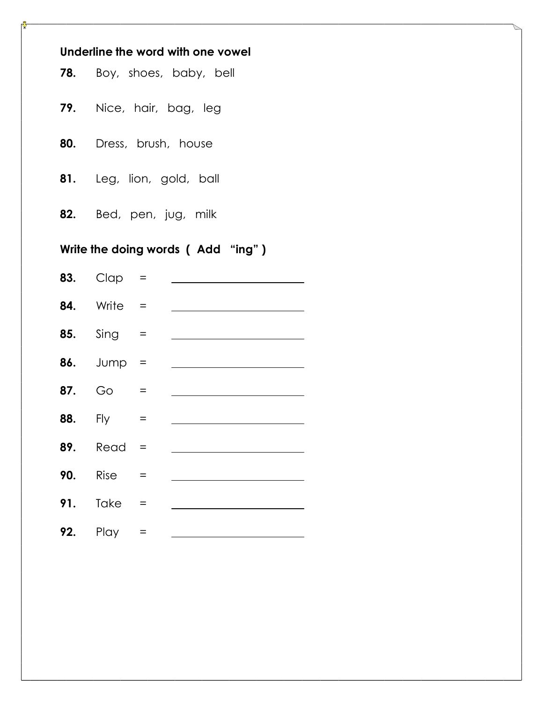| Underline the word with one vowel |                                   |                                   |  |  |  |  |
|-----------------------------------|-----------------------------------|-----------------------------------|--|--|--|--|
|                                   |                                   | <b>78.</b> Boy, shoes, baby, bell |  |  |  |  |
|                                   |                                   | 79. Nice, hair, bag, leg          |  |  |  |  |
|                                   |                                   | 80. Dress, brush, house           |  |  |  |  |
|                                   |                                   | 81. Leg, lion, gold, ball         |  |  |  |  |
|                                   |                                   | 82. Bed, pen, jug, milk           |  |  |  |  |
|                                   | Write the doing words (Add "ing") |                                   |  |  |  |  |
|                                   | <b>83.</b> $C \cap C =$           |                                   |  |  |  |  |
|                                   | $84.$ Write =                     |                                   |  |  |  |  |
|                                   | <b>85.</b> Sing $=$               |                                   |  |  |  |  |
|                                   | 86. Jump =                        |                                   |  |  |  |  |
|                                   | <b>87.</b> Go =                   |                                   |  |  |  |  |
|                                   | <b>88.</b> Fly $=$                |                                   |  |  |  |  |
| 89.                               | Read                              |                                   |  |  |  |  |
| 90.                               | Rise                              | $=$                               |  |  |  |  |
| 91.                               | Take                              |                                   |  |  |  |  |
| 92.                               | Play                              | $=$                               |  |  |  |  |